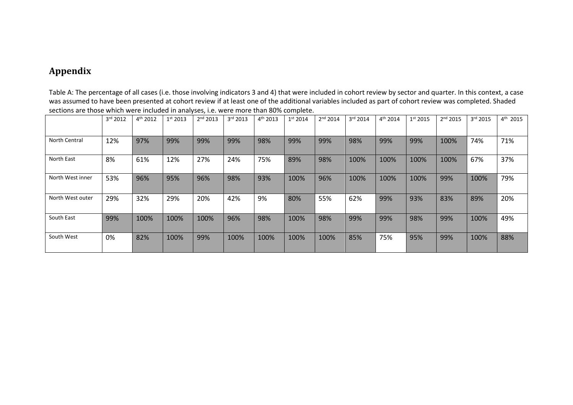## **Appendix**

Table A: The percentage of all cases (i.e. those involving indicators 3 and 4) that were included in cohort review by sector and quarter. In this context, a case was assumed to have been presented at cohort review if at least one of the additional variables included as part of cohort review was completed. Shaded sections are those which were included in analyses, i.e. were more than 80% complete.

|                  | 3rd 2012 | 4 <sup>th</sup> 2012 | 1 <sup>st</sup> 2013 | 2 <sup>nd</sup> 2013 | 3rd 2013 | 4 <sup>th</sup> 2013 | 1 <sup>st</sup> 2014 | 2 <sup>nd</sup> 2014 | 3 <sup>rd</sup> 2014 | 4 <sup>th</sup> 2014 | $1^{st}$ 2015 | 2 <sup>nd</sup> 2015 | 3rd 2015 | $4^{th}$ 2015 |
|------------------|----------|----------------------|----------------------|----------------------|----------|----------------------|----------------------|----------------------|----------------------|----------------------|---------------|----------------------|----------|---------------|
|                  |          |                      |                      |                      |          |                      |                      |                      |                      |                      |               |                      |          |               |
| North Central    | 12%      | 97%                  | 99%                  | 99%                  | 99%      | 98%                  | 99%                  | 99%                  | 98%                  | 99%                  | 99%           | 100%                 | 74%      | 71%           |
| North East       | 8%       | 61%                  | 12%                  | 27%                  | 24%      | 75%                  | 89%                  | 98%                  | 100%                 | 100%                 | 100%          | 100%                 | 67%      | 37%           |
| North West inner | 53%      | 96%                  | 95%                  | 96%                  | 98%      | 93%                  | 100%                 | 96%                  | 100%                 | 100%                 | 100%          | 99%                  | 100%     | 79%           |
| North West outer | 29%      | 32%                  | 29%                  | 20%                  | 42%      | 9%                   | 80%                  | 55%                  | 62%                  | 99%                  | 93%           | 83%                  | 89%      | 20%           |
| South East       | 99%      | 100%                 | 100%                 | 100%                 | 96%      | 98%                  | 100%                 | 98%                  | 99%                  | 99%                  | 98%           | 99%                  | 100%     | 49%           |
| South West       | 0%       | 82%                  | 100%                 | 99%                  | 100%     | 100%                 | 100%                 | 100%                 | 85%                  | 75%                  | 95%           | 99%                  | 100%     | 88%           |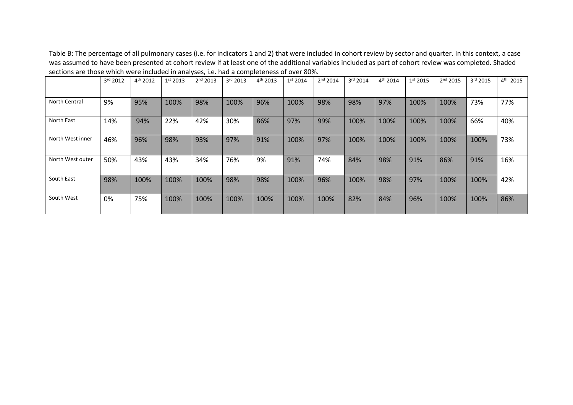Table B: The percentage of all pulmonary cases (i.e. for indicators 1 and 2) that were included in cohort review by sector and quarter. In this context, a case was assumed to have been presented at cohort review if at least one of the additional variables included as part of cohort review was completed. Shaded sections are those which were included in analyses, i.e. had a completeness of over 80%.

|                  | 3rd 2012 | 4 <sup>th</sup> 2012 | 1 <sup>st</sup> 2013 | 2 <sup>nd</sup> 2013 | 3rd 2013 | 4 <sup>th</sup> 2013 | 1 <sup>st</sup> 2014 | 2 <sup>nd</sup> 2014 | 3rd 2014 | $4^{th}$ 2014 | 1 <sup>st</sup> 2015 | 2 <sup>nd</sup> 2015 | 3rd 2015 | $4^{th}$ 2015 |
|------------------|----------|----------------------|----------------------|----------------------|----------|----------------------|----------------------|----------------------|----------|---------------|----------------------|----------------------|----------|---------------|
|                  |          |                      |                      |                      |          |                      |                      |                      |          |               |                      |                      |          |               |
| North Central    | 9%       | 95%                  | 100%                 | 98%                  | 100%     | 96%                  | 100%                 | 98%                  | 98%      | 97%           | 100%                 | 100%                 | 73%      | 77%           |
| North East       | 14%      | 94%                  | 22%                  | 42%                  | 30%      | 86%                  | 97%                  | 99%                  | 100%     | 100%          | 100%                 | 100%                 | 66%      | 40%           |
| North West inner | 46%      | 96%                  | 98%                  | 93%                  | 97%      | 91%                  | 100%                 | 97%                  | 100%     | 100%          | 100%                 | 100%                 | 100%     | 73%           |
| North West outer | 50%      | 43%                  | 43%                  | 34%                  | 76%      | 9%                   | 91%                  | 74%                  | 84%      | 98%           | 91%                  | 86%                  | 91%      | 16%           |
| South East       | 98%      | 100%                 | 100%                 | 100%                 | 98%      | 98%                  | 100%                 | 96%                  | 100%     | 98%           | 97%                  | 100%                 | 100%     | 42%           |
| South West       | 0%       | 75%                  | 100%                 | 100%                 | 100%     | 100%                 | 100%                 | 100%                 | 82%      | 84%           | 96%                  | 100%                 | 100%     | 86%           |